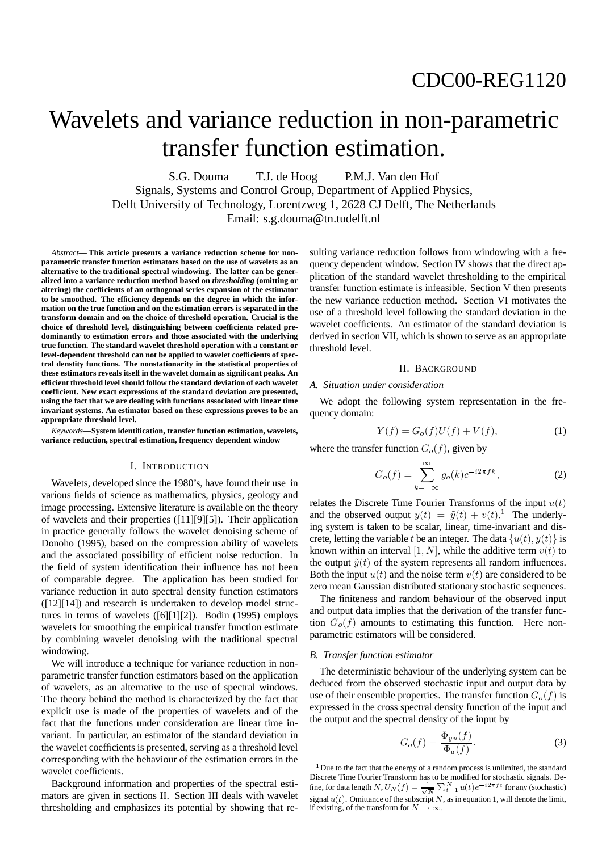# Wavelets and variance reduction in non-parametric transfer function estimation.

S.G. Douma T.J. de Hoog P.M.J. Van den Hof Signals, Systems and Control Group, Department of Applied Physics, Delft University of Technology, Lorentzweg 1, 2628 CJ Delft, The Netherlands Email: s.g.douma@tn.tudelft.nl

*Abstract***— This article presents a variance reduction scheme for nonparametric transfer function estimators based on the use of wavelets as an alternative to the traditional spectral windowing. The latter can be generalized into a variance reduction method based on** *thresholding* **(omitting or altering) the coefcients of an orthogonal series expansion of the estimator to be smoothed. The efciency depends on the degree in which the information on the true function and on the estimation errors is separated in the transform domain and on the choice of threshold operation. Crucial is the choice of threshold level, distinguishing between coefcients related predominantly to estimation errors and those associated with the underlying true function. The standard wavelet threshold operation with a constant or level-dependent threshold can not be applied to wavelet coefcients of spectral denstity functions. The nonstationarity in the statistical properties of these estimators reveals itself in the wavelet domain as signicant peaks. An efcient threshold level should follow the standard deviation of each wavelet coefcient. New exact expressions of the standard deviation are presented, using the fact that we are dealing with functions associated with linear time invariant systems. An estimator based on these expressions proves to be an appropriate threshold level.**

*Keywords***—System identication, transfer function estimation, wavelets, variance reduction, spectral estimation, frequency dependent window**

## I. INTRODUCTION

Wavelets, developed since the 1980's, have found their use in various fields of science as mathematics, physics, geology and image processing. Extensive literature is available on the theory of wavelets and their properties ([11][9][5]). Their application in practice generally follows the wavelet denoising scheme of Donoho (1995), based on the compression ability of wavelets and the associated possibility of efficient noise reduction. In the field of system identification their influence has not been of comparable degree. The application has been studied for variance reduction in auto spectral density function estimators  $([12][14])$  and research is undertaken to develop model structures in terms of wavelets ([6][1][2]). Bodin (1995) employs wavelets for smoothing the empirical transfer function estimate by combining wavelet denoising with the traditional spectral windowing.

We will introduce a technique for variance reduction in nonparametric transfer function estimators based on the application of wavelets, as an alternative to the use of spectral windows. The theory behind the method is characterized by the fact that explicit use is made of the properties of wavelets and of the fact that the functions under consideration are linear time invariant. In particular, an estimator of the standard deviation in the wavelet coefficients is presented, serving as a threshold level corresponding with the behaviour of the estimation errors in the wavelet coefficients.

Background information and properties of the spectral estimators are given in sections II. Section III deals with wavelet thresholding and emphasizes its potential by showing that resulting variance reduction follows from windowing with a frequency dependent window. Section IV shows that the direct application of the standard wavelet thresholding to the empirical transfer function estimate is infeasible. Section V then presents the new variance reduction method. Section VI motivates the use of a threshold level following the standard deviation in the wavelet coefficients. An estimator of the standard deviation is derived in section VII, which is shown to serve as an appropriate threshold level.

#### II. BACKGROUND

#### *A. Situation under consideration*

We adopt the following system representation in the frequency domain:

$$
Y(f) = G_o(f)U(f) + V(f),
$$
 (1)

where the transfer function  $G_o(f)$ , given by

$$
G_o(f) = \sum_{k=-\infty}^{\infty} g_o(k)e^{-i2\pi fk},
$$
 (2)

relates the Discrete Time Fourier Transforms of the input  $u(t)$ and the observed output  $y(t) = \tilde{y}(t) + v(t)$ .<sup>1</sup> The underlying system is taken to be scalar, linear, time-invariant and discrete, letting the variable t be an integer. The data  $\{u(t), y(t)\}$  is known within an interval  $[1, N]$ , while the additive term  $v(t)$  to the output  $\tilde{y}(t)$  of the system represents all random influences. Both the input  $u(t)$  and the noise term  $v(t)$  are considered to be zero mean Gaussian distributed stationary stochastic sequences.

The finiteness and random behaviour of the observed input and output data implies that the derivation of the transfer function  $G_{o}(f)$  amounts to estimating this function. Here nonparametric estimators will be considered.

## *B. Transfer function estimator*

The deterministic behaviour of the underlying system can be deduced from the observed stochastic input and output data by use of their ensemble properties. The transfer function  $G_o(f)$  is expressed in the cross spectral density function of the input and the output and the spectral density of the input by

$$
G_o(f) = \frac{\Phi_{yu}(f)}{\Phi_{\rm u}(f)}.
$$
 (3)

 $1$  Due to the fact that the energy of a random process is unlimited, the standard Discrete Time Fourier Transform has to be modified for stochastic signals. Define, for data length  $N$  ,  $U_N(f) = \frac{1}{\sqrt{N}} \sum_{t=1}^N u(t) e^{-i2\pi ft}$  for any (stochastic) signal  $u(t)$ . Omittance of the subscript N, as in equation 1, will denote the limit, if existing, of the transform for  $N \to \infty$ .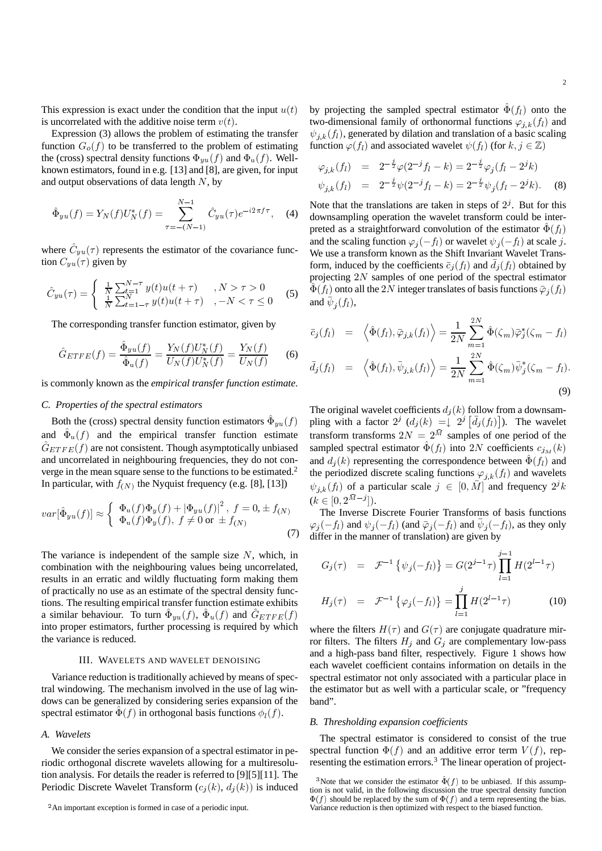This expression is exact under the condition that the input  $u(t)$ is uncorrelated with the additive noise term  $v(t)$ .

Expression (3) allows the problem of estimating the transfer function  $G_o(f)$  to be transferred to the problem of estimating the (cross) spectral density functions  $\Phi_{yu}(f)$  and  $\Phi_u(f)$ . Wellknown estimators, found in e.g. [13] and [8], are given, for input and output observations of data length  $N$ , by

$$
\hat{\Phi}_{yu}(f) = Y_N(f)U_N^*(f) = \sum_{\tau = -(N-1)}^{N-1} \hat{C}_{yu}(\tau)e^{-i2\pi f\tau}, \quad (4)
$$

where  $\hat{C}_{yu}(\tau)$  represents the estimator of the covariance function  $C_{yu}(\tau)$  given by

$$
\hat{C}_{yu}(\tau) = \begin{cases}\n\frac{1}{N} \sum_{t=1}^{N-\tau} y(t)u(t+\tau) & , N > \tau > 0 \\
\frac{1}{N} \sum_{t=1-\tau}^{N} y(t)u(t+\tau) & , -N < \tau \le 0\n\end{cases}
$$
\n(5)

The corresponding transfer function estimator, given by

$$
\hat{G}_{ETFE}(f) = \frac{\hat{\Phi}_{yu}(f)}{\hat{\Phi}_u(f)} = \frac{Y_N(f)U_N^*(f)}{U_N(f)U_N^*(f)} = \frac{Y_N(f)}{U_N(f)} \tag{6}
$$

is commonly known as the *empirical transfer function estimate*.

# *C. Properties of the spectral estimators*

Both the (cross) spectral density function estimators  $\hat{\Phi}_{yu}(f)$ and  $\hat{\Phi}_u(f)$  and the empirical transfer function estimate  $\hat{G}_{ETFE}(f)$  are not consistent. Though asymptotically unbiased and uncorrelated in neighbouring frequencies, they do not converge in the mean square sense to the functions to be estimated.2 In particular, with  $f(N)$  the Nyquist frequency (e.g. [8], [13])

$$
var[\hat{\Phi}_{yu}(f)] \approx \begin{cases} \Phi_{\mathbf{u}}(f)\Phi_{y}(f) + |\Phi_{yu}(f)|^2, \ f = 0, \pm f_{(N)} \\ \Phi_{\mathbf{u}}(f)\Phi_{y}(f), \ f \neq 0 \text{ or } \pm f_{(N)} \end{cases}
$$
(7)

The variance is independent of the sample size  $N$ , which, in combination with the neighbouring values being uncorrelated, results in an erratic and wildly fluctuating form making them of practically no use as an estimate of the spectral density functions. The resulting empirical transfer function estimate exhibits a similar behaviour. To turn  $\hat{\Phi}_{yu}(f)$ ,  $\hat{\Phi}_u(f)$  and  $\hat{G}_{ETFE}(f)$ into proper estimators, further processing is required by which the variance is reduced.

## III. WAVELETS AND WAVELET DENOISING

Variance reduction is traditionally achieved by means of spectral windowing. The mechanism involved in the use of lag windows can be generalized by considering series expansion of the spectral estimator  $\hat{\Phi}(f)$  in orthogonal basis functions  $\phi_l(f)$ .

# *A. Wavelets*

We consider the series expansion of a spectral estimator in periodic orthogonal discrete wavelets allowing for a multiresolution analysis. For details the reader is referred to [9][5][11]. The Periodic Discrete Wavelet Transform  $(c_j(k), d_j(k))$  is induced

by projecting the sampled spectral estimator  $\hat{\Phi}(f_i)$  onto the two-dimensional family of orthonormal functions  $\varphi_{j,k}(f_l)$  and  $\psi_{j,k}(f_l)$ , generated by dilation and translation of a basic scaling function  $\varphi(f_l)$  and associated wavelet  $\psi(f_l)$  (for  $k, j \in \mathbb{Z}$ )

$$
\varphi_{j,k}(f_l) = 2^{-\frac{j}{2}} \varphi(2^{-j} f_l - k) = 2^{-\frac{j}{2}} \varphi_j (f_l - 2^j k)
$$
  

$$
\psi_{j,k}(f_l) = 2^{-\frac{j}{2}} \psi(2^{-j} f_l - k) = 2^{-\frac{j}{2}} \psi_j (f_l - 2^j k).
$$
 (8)

Note that the translations are taken in steps of  $2<sup>j</sup>$ . But for this downsampling operation the wavelet transform could be interpreted as a straightforward convolution of the estimator  $\hat{\Phi}(f_i)$ and the scaling function  $\varphi_j(-f_l)$  or wavelet  $\psi_j(-f_l)$  at scale j. We use a transform known as the Shift Invariant Wavelet Transform, induced by the coefficients  $\bar{c}_j(f_l)$  and  $\bar{d}_j(f_l)$  obtained by projecting  $2N$  samples of one period of the spectral estimator  $\hat{\Phi} (f_l)$  onto all the  $2N$  integer translates of basis functions  $\bar{\varphi}_j(f_l)$ and  $\bar{\psi}_j(f_l)$ ,

$$
\bar{c}_j(f_l) = \left\langle \hat{\Phi}(f_l), \bar{\varphi}_{j,k}(f_l) \right\rangle = \frac{1}{2N} \sum_{m=1}^{2N} \hat{\Phi}(\zeta_m) \bar{\varphi}_j^*(\zeta_m - f_l)
$$

$$
\bar{d}_j(f_l) = \left\langle \hat{\Phi}(f_l), \bar{\psi}_{j,k}(f_l) \right\rangle = \frac{1}{2N} \sum_{m=1}^{2N} \hat{\Phi}(\zeta_m) \bar{\psi}_j^*(\zeta_m - f_l).
$$
\n(9)

The original wavelet coefficients  $d_j(k)$  follow from a downsampling with a factor  $2^j$   $(d_j(k) = \int_0^{\infty} 2^j [\bar{d}_j(f_l)]$ ). The wavelet transform transforms  $2N = 2^{\overline{M}}$  samples of one period of the sampled spectral estimator  $\hat{\Phi}(f_l)$  into 2N coefficients  $c_{j_M}(k)$ and  $d_j(k)$  representing the correspondence between  $\hat{\Phi}(f_l)$  and the periodized discrete scaling functions  $\varphi_{j,k}(f_l)$  and wavelets  $\psi_{j,k}(f_l)$  of a particular scale  $j \in [0, \overline{M}]$  and frequency  $2^{j}k$  $(k \in [0, 2^{\bar{M}-j}]).$ 

The Inverse Discrete Fourier Transforms of basis functions  $\varphi_j(-f_l)$  and  $\psi_j(-f_l)$  (and  $\bar{\varphi}_j(-f_l)$  and  $\bar{\psi}_j(-f_l)$ , as they only differ in the manner of translation) are given by

$$
G_j(\tau) = \mathcal{F}^{-1}\left\{\psi_j(-f_l)\right\} = G(2^{j-1}\tau) \prod_{l=1}^{j-1} H(2^{l-1}\tau)
$$

$$
H_j(\tau) = \mathcal{F}^{-1}\left\{\varphi_j(-f_l)\right\} = \prod_{l=1}^{j} H(2^{l-1}\tau) \tag{10}
$$

where the filters  $H(\tau)$  and  $G(\tau)$  are conjugate quadrature mirror filters. The filters  $H_j$  and  $G_j$  are complementary low-pass and a high-pass band filter, respectively. Figure 1 shows how each wavelet coefficient contains information on details in the spectral estimator not only associated with a particular place in the estimator but as well with a particular scale, or "frequency band".

# $B.$  Thresholding expansion coefficients

The spectral estimator is considered to consist of the true spectral function  $\Phi(f)$  and an additive error term  $V(f)$ , representing the estimation errors.<sup>3</sup> The linear operation of project-

<sup>&</sup>lt;sup>2</sup>An important exception is formed in case of a periodic input.

<sup>&</sup>lt;sup>3</sup>Note that we consider the estimator  $\hat{\Phi}(f)$  to be unbiased. If this assumption is not valid, in the following discussion the true spectral density function  $\Phi(f)$  should be replaced by the sum of  $\Phi(f)$  and a term representing the bias. Variance reduction is then optimized with respect to the biased function.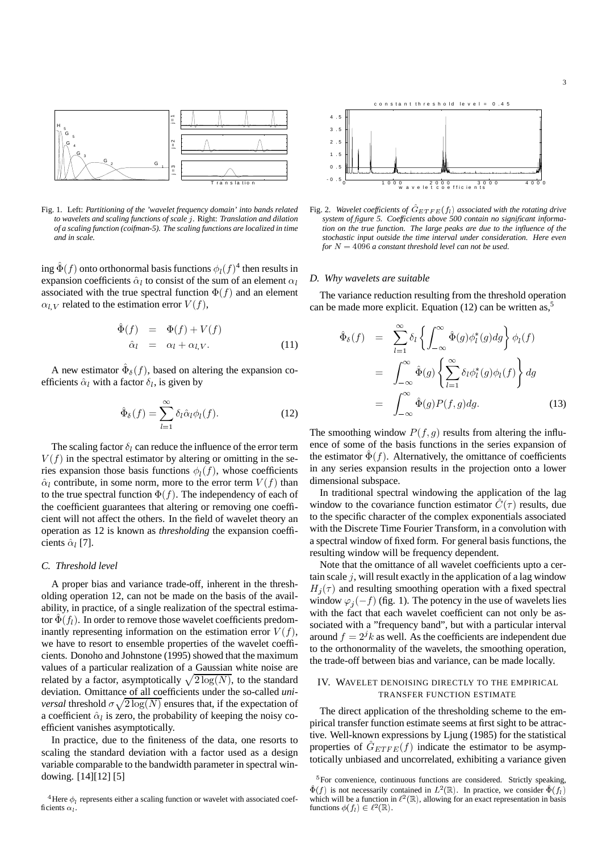

Fig. 1. Left: *Partitioning of the 'wavelet frequency domain' into bands related to wavelets and scaling functions of scale .* Right: *Translation and dilation of a scaling function (coifman-5). The scaling functions are localized in time and in scale.*

ing  $\hat{\Phi}(f)$  onto orthonormal basis functions  $\phi_l(f)^4$  then results in expansion coefficients  $\hat{\alpha}_l$  to consist of the sum of an element  $\alpha_l$ associated with the true spectral function  $\Phi(f)$  and an element  $\alpha_{l,V}$  related to the estimation error  $V(f)$ ,

$$
\begin{aligned}\n\hat{\Phi}(f) &= \Phi(f) + V(f) \\
\hat{\alpha}_l &= \alpha_l + \alpha_{l,V}.\n\end{aligned} \tag{11}
$$

A new estimator  $\hat{\Phi}_{\delta}(f)$ , based on altering the expansion coefficients  $\hat{\alpha}_l$  with a factor  $\delta_l$ , is given by

$$
\hat{\Phi}_{\delta}(f) = \sum_{l=1}^{\infty} \delta_l \hat{\alpha}_l \phi_l(f). \tag{12}
$$

The scaling factor  $\delta_l$  can reduce the influence of the error term  $V(f)$  in the spectral estimator by altering or omitting in the series expansion those basis functions  $\phi_l(f)$ , whose coefficients  $\hat{\alpha}_l$  contribute, in some norm, more to the error term  $V(f)$  than to the true spectral function  $\Phi(f)$ . The independency of each of the coefficient guarantees that altering or removing one coefficient will not affect the others. In the field of wavelet theory an operation as 12 is known as *thresholding* the expansion coefficients  $\hat{\alpha}_l$  [7].

## *C. Threshold level*

A proper bias and variance trade-off, inherent in the thresholding operation 12, can not be made on the basis of the availability, in practice, of a single realization of the spectral estimator  $\hat{\Phi}(f_l)$ . In order to remove those wavelet coefficients predominantly representing information on the estimation error  $V(f)$ , we have to resort to ensemble properties of the wavelet coefficients. Donoho and Johnstone (1995) showed that the maximum values of a particular realization of a Gaussian white noise are related by a factor, asymptotically  $\sqrt{2 \log(N)}$ , to the standard deviation. Omittance of all coefficients under the so-called *universal* threshold  $\sigma \sqrt{2 \log(N)}$  ensures that, if the expectation of a coefficient  $\hat{\alpha}_l$  is zero, the probability of keeping the noisy coefficient vanishes asymptotically.

In practice, due to the finiteness of the data, one resorts to scaling the standard deviation with a factor used as a design variable comparable to the bandwidth parameter in spectral windowing. [14][12] [5]



Fig. 2. Wavelet coefficients of  $\hat{G}_{ETFE}(f_l)$  associated with the rotating drive *system of gure 5. Coefcients above 500 contain no signicant informa*tion on the true function. The large peaks are due to the influence of the *stochastic input outside the time interval under consideration. Here even for*  $N = 4096$  *a constant threshold level can not be used.* 

## *D. Why wavelets are suitable*

The variance reduction resulting from the threshold operation can be made more explicit. Equation (12) can be written as,<sup>5</sup>

$$
\hat{\Phi}_{\delta}(f) = \sum_{l=1}^{\infty} \delta_{l} \left\{ \int_{-\infty}^{\infty} \hat{\Phi}(g) \phi_{l}^{*}(g) dg \right\} \phi_{l}(f)
$$
\n
$$
= \int_{-\infty}^{\infty} \hat{\Phi}(g) \left\{ \sum_{l=1}^{\infty} \delta_{l} \phi_{l}^{*}(g) \phi_{l}(f) \right\} dg
$$
\n
$$
= \int_{-\infty}^{\infty} \hat{\Phi}(g) P(f, g) dg. \tag{13}
$$

The smoothing window  $P(f, g)$  results from altering the influence of some of the basis functions in the series expansion of the estimator  $\hat{\Phi}(f)$ . Alternatively, the omittance of coefficients in any series expansion results in the projection onto a lower dimensional subspace.

In traditional spectral windowing the application of the lag window to the covariance function estimator  $\hat{C}(\tau)$  results, due to the specific character of the complex exponentials associated with the Discrete Time Fourier Transform, in a convolution with a spectral window of fixed form. For general basis functions, the resulting window will be frequency dependent.

Note that the omittance of all wavelet coefficients upto a certain scale  $j$ , will result exactly in the application of a lag window  $H_j(\tau)$  and resulting smoothing operation with a fixed spectral window  $\varphi_j(-f)$  (fig. 1). The potency in the use of wavelets lies with the fact that each wavelet coefficient can not only be associated with a "frequency band", but with a particular interval around  $f = 2^j k$  as well. As the coefficients are independent due to the orthonormality of the wavelets, the smoothing operation, the trade-off between bias and variance, can be made locally.

# IV. WAVELET DENOISING DIRECTLY TO THE EMPIRICAL TRANSFER FUNCTION ESTIMATE

The direct application of the thresholding scheme to the empirical transfer function estimate seems at first sight to be attractive. Well-known expressions by Ljung (1985) for the statistical properties of  $\hat{G}_{ETFE}(f)$  indicate the estimator to be asymptotically unbiased and uncorrelated, exhibiting a variance given

<sup>&</sup>lt;sup>4</sup>Here  $\phi_l$  represents either a scaling function or wavelet with associated coefficients  $\alpha_l$ .

<sup>&</sup>lt;sup>5</sup>For convenience, continuous functions are considered. Strictly speaking,  $\hat{\Phi}(f)$  is not necessarily contained in  $L^2(\mathbb{R})$ . In practice, we consider  $\hat{\Phi}(f)$ which will be a function in  $\ell^2(\mathbb{R})$ , allowing for an exact representation in basis functions  $\phi(f_l) \in \ell^2(\mathbb{R})$ .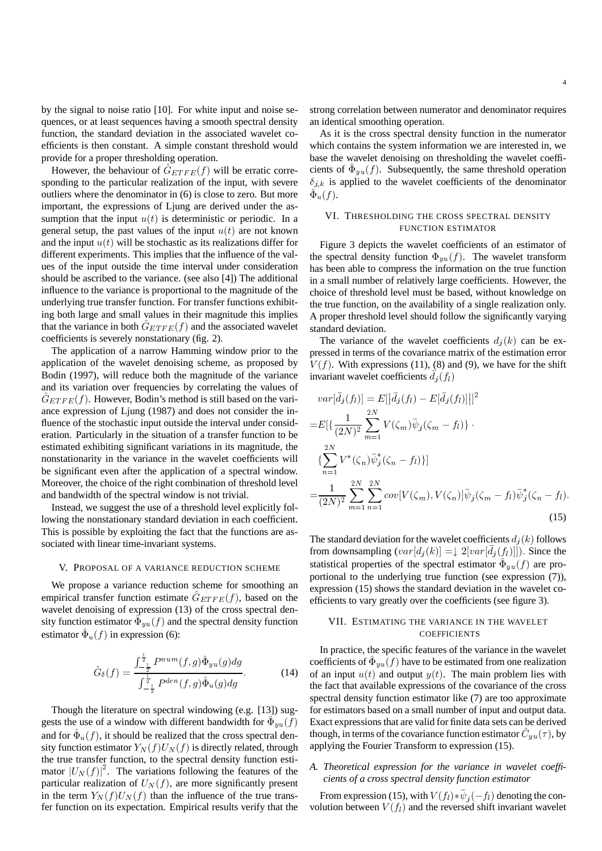by the signal to noise ratio [10]. For white input and noise sequences, or at least sequences having a smooth spectral density function, the standard deviation in the associated wavelet coefficients is then constant. A simple constant threshold would provide for a proper thresholding operation.

However, the behaviour of  $\hat{G}_{ETFE}(f)$  will be erratic corresponding to the particular realization of the input, with severe outliers where the denominator in (6) is close to zero. But more important, the expressions of Ljung are derived under the assumption that the input  $u(t)$  is deterministic or periodic. In a general setup, the past values of the input  $u(t)$  are not known and the input  $u(t)$  will be stochastic as its realizations differ for different experiments. This implies that the influence of the values of the input outside the time interval under consideration should be ascribed to the variance. (see also [4]) The additional influence to the variance is proportional to the magnitude of the underlying true transfer function. For transfer functions exhibiting both large and small values in their magnitude this implies that the variance in both  $\hat{G}_{ETFE}(f)$  and the associated wavelet coefficients is severely nonstationary (fig. 2).

The application of a narrow Hamming window prior to the application of the wavelet denoising scheme, as proposed by Bodin (1997), will reduce both the magnitude of the variance and its variation over frequencies by correlating the values of  $\hat{G}_{ETFE}(f)$ . However, Bodin's method is still based on the variance expression of Ljung (1987) and does not consider the in fluence of the stochastic input outside the interval under consideration. Particularly in the situation of a transfer function to be estimated exhibiting significant variations in its magnitude, the nonstationarity in the variance in the wavelet coefficients will be significant even after the application of a spectral window. Moreover, the choice of the right combination of threshold level and bandwidth of the spectral window is not trivial.

Instead, we suggest the use of a threshold level explicitly following the nonstationary standard deviation in each coefficient. This is possible by exploiting the fact that the functions are associated with linear time-invariant systems.

## V. PROPOSAL OF A VARIANCE REDUCTION SCHEME

We propose a variance reduction scheme for smoothing an empirical transfer function estimate  $\hat{G}_{ETFE}(f)$ , based on the wavelet denoising of expression (13) of the cross spectral density function estimator  $\tilde{\Phi}_{yu}(f)$  and the spectral density function estimator  $\hat{\Phi}_u(f)$  in expression (6):

$$
\hat{G}_{\delta}(f) = \frac{\int_{-\frac{1}{2}}^{\frac{1}{2}} P^{num}(f,g)\hat{\Phi}_{yu}(g)dg}{\int_{-\frac{1}{2}}^{\frac{1}{2}} P^{den}(f,g)\hat{\Phi}_{u}(g)dg}.
$$
 (14)

Though the literature on spectral windowing (e.g. [13]) suggests the use of a window with different bandwidth for  $\hat{\Phi}_{yu}(f)$ and for  $\hat{\Phi}_u(f)$ , it should be realized that the cross spectral density function estimator  $Y_N(f)U_N(f)$  is directly related, through the true transfer function, to the spectral density function estimator  $|U_N(f)|^2$ . The variations following the features of the particular realization of  $U_N(f)$ , are more significantly present in the term  $Y_N(f)U_N(f)$  than the influence of the true transfer function on its expectation. Empirical results verify that the

strong correlation between numerator and denominator requires an identical smoothing operation.

As it is the cross spectral density function in the numerator which contains the system information we are interested in, we base the wavelet denoising on thresholding the wavelet coefficients of  $\hat{\Phi}_{yu}(f)$ . Subsequently, the same threshold operation  $\delta_{j,k}$  is applied to the wavelet coefficients of the denominator  $\hat{\Phi}_\mathrm{u}(f).$ 

# VI. THRESHOLDING THE CROSS SPECTRAL DENSITY FUNCTION ESTIMATOR

Figure 3 depicts the wavelet coefficients of an estimator of the spectral density function  $\Phi_{yu}(f)$ . The wavelet transform has been able to compress the information on the true function in a small number of relatively large coefficients. However, the choice of threshold level must be based, without knowledge on the true function, on the availability of a single realization only. A proper threshold level should follow the significantly varying standard deviation.

The variance of the wavelet coefficients  $d_j(k)$  can be expressed in terms of the covariance matrix of the estimation error  $V(f)$ . With expressions (11), (8) and (9), we have for the shift invariant wavelet coefficients  $\bar{d}_j(f_l)$ 

$$
var[\bar{d}_{j}(f_{l})] = E[|\bar{d}_{j}(f_{l}) - E[\bar{d}_{j}(f_{l})]|]^{2}
$$
  
\n
$$
= E[\{\frac{1}{(2N)^{2}} \sum_{m=1}^{2N} V(\zeta_{m}) \bar{\psi}_{j}(\zeta_{m} - f_{l}) \} \cdot \{\sum_{n=1}^{2N} V^{*}(\zeta_{n}) \bar{\psi}_{j}^{*}(\zeta_{n} - f_{l})\}]
$$
  
\n
$$
= \frac{1}{(2N)^{2}} \sum_{m=1}^{2N} \sum_{n=1}^{2N} cov[V(\zeta_{m}), V(\zeta_{n})] \bar{\psi}_{j}(\zeta_{m} - f_{l}) \bar{\psi}_{j}^{*}(\zeta_{n} - f_{l}).
$$
\n(15)

The standard deviation for the wavelet coefficients  $d_j(k)$  follows from downsampling  $(var[d_j(k)] = \downarrow 2[var[\bar{d}_j(f_l)]])$ . Since the statistical properties of the spectral estimator  $\hat{\Phi}_{yu}(f)$  are proportional to the underlying true function (see expression (7)), expression (15) shows the standard deviation in the wavelet coefficients to vary greatly over the coefficients (see figure 3).

# VII. ESTIMATING THE VARIANCE IN THE WAVELET **COEFFICIENTS**

In practice, the specific features of the variance in the wavelet coefficients of  $\hat{\Phi}_{yu}(f)$  have to be estimated from one realization of an input  $u(t)$  and output  $y(t)$ . The main problem lies with the fact that available expressions of the covariance of the cross spectral density function estimator like (7) are too approximate for estimators based on a small number of input and output data. Exact expressions that are valid for finite data sets can be derived though, in terms of the covariance function estimator  $\hat{C}_{yu}(\tau)$ , by applying the Fourier Transform to expression (15).

# *A. Theoretical expression for the variance in wavelet coef- cients of a cross spectral density function estimator*

From expression (15), with  $V(f_l) * \bar{\psi}_j(-f_l)$  denoting the convolution between  $V(f_l)$  and the reversed shift invariant wavelet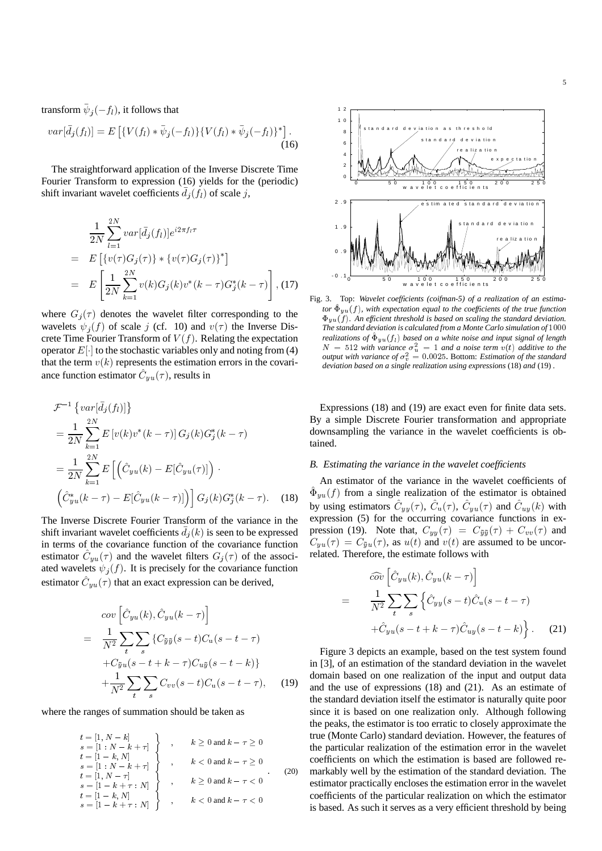transform  $\bar{\psi}_j(-f_l),$  it follows that

$$
var[\bar{d}_j(f_l)] = E\left[\{V(f_l) * \bar{\psi}_j(-f_l)\} \{V(f_l) * \bar{\psi}_j(-f_l)\}^*\right].
$$
\n(16)

The straightforward application of the Inverse Discrete Time Fourier Transform to expression (16) yields for the (periodic) shift invariant wavelet coefficients  $\bar{d}_j(f_l)$  of scale j,

$$
\frac{1}{2N} \sum_{l=1}^{2N} var[\bar{d}_{j}(f_{l})] e^{i2\pi f_{l}\tau}
$$
\n
$$
= E\left[\{v(\tau)G_{j}(\tau)\} * \{v(\tau)G_{j}(\tau)\}^{*}\right]
$$
\n
$$
= E\left[\frac{1}{2N} \sum_{k=1}^{2N} v(k)G_{j}(k)v^{*}(k-\tau)G_{j}^{*}(k-\tau)\right],
$$
\n(17)

where  $G_j(\tau)$  denotes the wavelet filter corresponding to the wavelets  $\psi_j(f)$  of scale j (cf. 10) and  $v(\tau)$  the Inverse Discrete Time Fourier Transform of  $V(f)$ . Relating the expectation operator  $E[\cdot]$  to the stochastic variables only and noting from (4) that the term  $v(k)$  represents the estimation errors in the covariance function estimator  $\hat{C}_{yu}(\tau)$ , results in

$$
\mathcal{F}^{-1}\left\{ var[\bar{d}_{j}(f_{l})]\right\}
$$
\n
$$
= \frac{1}{2N} \sum_{k=1}^{2N} E\left[v(k)v^{*}(k-\tau)\right] G_{j}(k) G_{j}^{*}(k-\tau)
$$
\n
$$
= \frac{1}{2N} \sum_{k=1}^{2N} E\left[\left(\hat{C}_{yu}(k) - E[\hat{C}_{yu}(\tau)]\right) \cdot \left(\hat{C}_{yu}^{*}(k-\tau) - E[\hat{C}_{yu}(k-\tau)]\right)\right] G_{j}(k) G_{j}^{*}(k-\tau). \quad (18)
$$

The Inverse Discrete Fourier Transform of the variance in the shift invariant wavelet coefficients  $\bar{d}_j(k)$  is seen to be expressed in terms of the covariance function of the covariance function estimator  $\hat{C}_{yu}(\tau)$  and the wavelet filters  $G_j(\tau)$  of the associated wavelets  $\psi_j(f)$ . It is precisely for the covariance function estimator  $\hat{C}_{yu}(\tau)$  that an exact expression can be derived,

$$
cov\left[\hat{C}_{yu}(k), \hat{C}_{yu}(k-\tau)\right]
$$
  
= 
$$
\frac{1}{N^2} \sum_{t} \sum_{s} \left\{ C_{\tilde{y}\tilde{y}}(s-t)C_{\mathbf{u}}(s-t-\tau) + C_{\tilde{y}u}(s-t+k-\tau)C_{u\tilde{y}}(s-t-k) \right\}
$$
  
+ 
$$
\frac{1}{N^2} \sum_{t} \sum_{s} C_{vv}(s-t)C_{\mathbf{u}}(s-t-\tau), \quad (19)
$$

where the ranges of summation should be taken as

$$
t = [1, N - k]
$$
  
\n
$$
s = [1 : N - k + \tau]
$$
  
\n
$$
t = [1 - k, N]
$$
  
\n
$$
s = [1 : N - \tau]
$$
  
\n
$$
s = [1 - k + \tau : N]
$$
  
\n
$$
t = [1 - k, N]
$$
  
\n
$$
t = [1 - k, N]
$$
  
\n
$$
s = [1 - k + \tau : N]
$$
  
\n
$$
s = [1 - k + \tau : N]
$$
  
\n
$$
s = [1 - k + \tau : N]
$$
  
\n
$$
k < 0
$$
 and  $k - \tau < 0$   
\n
$$
k < 0
$$
 and  $k - \tau < 0$ 



Fig. 3. Top: *Wavelet coefcients (coifman-5) of a realization of an estima*tor  $\hat{\Phi}_{yu}(f)$ , with expectation equal to the coefficients of the true function  $\Phi_{yu}(f)$ . An efficient threshold is based on scaling the standard deviation. *The standard deviation is calculated from a Monte Carlo simulation of realizations of*  $\hat{\Phi}_{yu}(f_l)$  based on a white noise and input signal of length  $N = 512$  with variance  $\sigma_u^2 = 1$  and a noise term  $v(t)$  additive to the *output with variance of*  $\sigma_v^2 = 0.0025$ . Bottom: *Estimation of the standard deviation based on a single realization using expressions* (18) *and* (19) *.*

Expressions (18) and (19) are exact even for finite data sets. By a simple Discrete Fourier transformation and appropriate downsampling the variance in the wavelet coefficients is obtained.

# **B.** Estimating the variance in the wavelet coefficients

An estimator of the variance in the wavelet coefficients of  $\hat{\Phi}_{yu}(f)$  from a single realization of the estimator is obtained by using estimators  $\hat{C}_{yy}(\tau)$ ,  $\hat{C}_{u}(\tau)$ ,  $\hat{C}_{yu}(\tau)$  and  $\hat{C}_{uy}(k)$  with expression (5) for the occurring covariance functions in expression (19). Note that,  $C_{yy}(\tau) = C_{\tilde{y}\tilde{y}}(\tau) + C_{vv}(\tau)$  and  $C_{yu}(\tau) = C_{\tilde{y}u}(\tau)$ , as  $u(t)$  and  $v(t)$  are assumed to be uncorrelated. Therefore, the estimate follows with

$$
\widehat{cov}\left[\hat{C}_{yu}(k), \hat{C}_{yu}(k-\tau)\right]
$$
\n
$$
=\frac{1}{N^2}\sum_{t}\sum_{s}\left\{\hat{C}_{yy}(s-t)\hat{C}_{u}(s-t-\tau)\right.
$$
\n
$$
+\hat{C}_{yu}(s-t+k-\tau)\hat{C}_{uy}(s-t-k)\left.\right\}.
$$
\n(21)

Figure 3 depicts an example, based on the test system found in [3], of an estimation of the standard deviation in the wavelet domain based on one realization of the input and output data and the use of expressions (18) and (21). As an estimate of the standard deviation itself the estimator is naturally quite poor since it is based on one realization only. Although following the peaks, the estimator is too erratic to closely approximate the true (Monte Carlo) standard deviation. However, the features of the particular realization of the estimation error in the wavelet coefficients on which the estimation is based are followed remarkably well by the estimation of the standard deviation. The estimator practically encloses the estimation error in the wavelet coefficients of the particular realization on which the estimator is based. As such it serves as a very efficient threshold by being